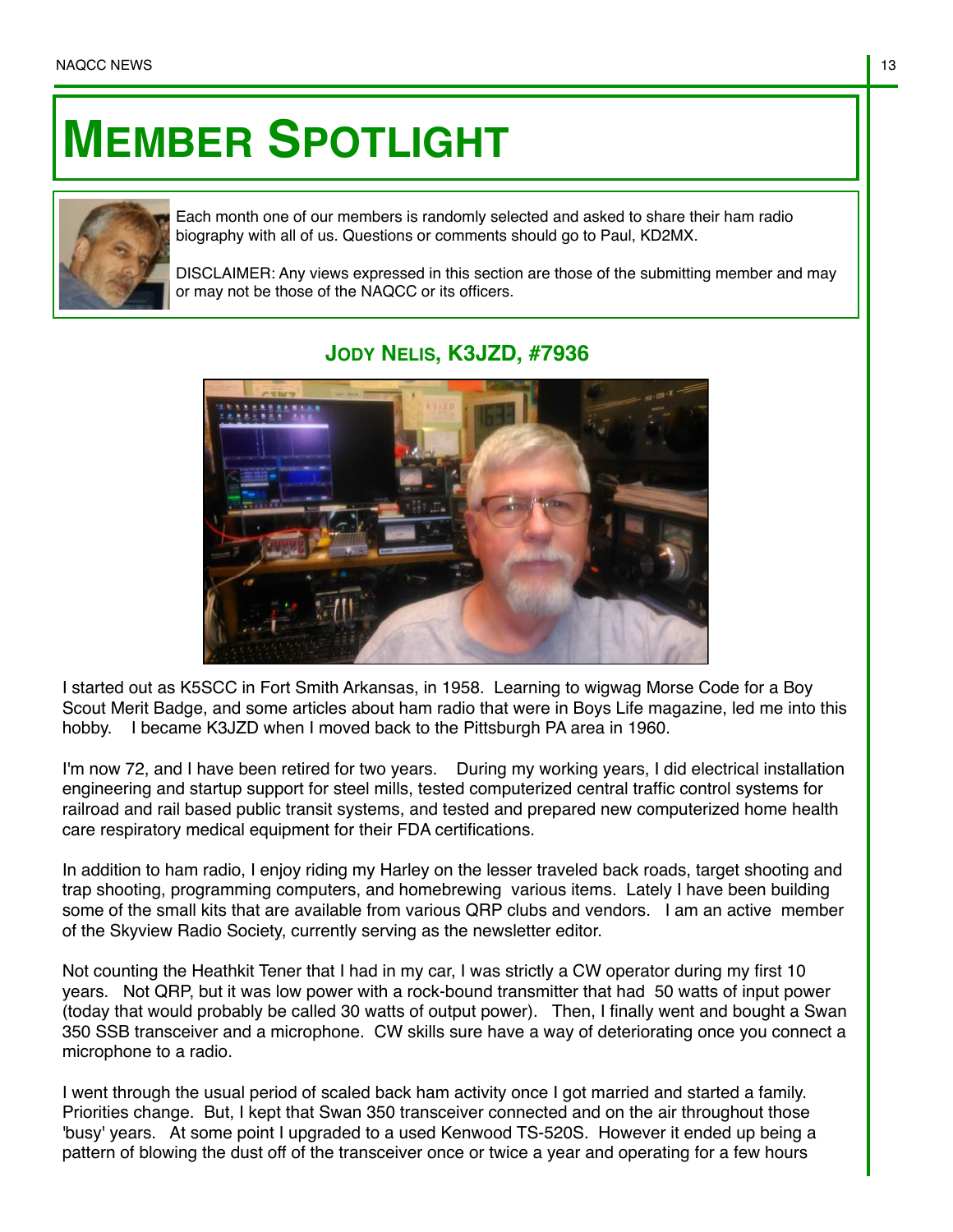## **MEMBER SPOTLIGHT**



Each month one of our members is randomly selected and asked to share their ham radio biography with all of us. Questions or comments should go to Paul, KD2MX.

DISCLAIMER: Any views expressed in this section are those of the submitting member and may or may not be those of the NAQCC or its officers.

## **JODY NELIS, K3JZD, #7936**



I started out as K5SCC in Fort Smith Arkansas, in 1958. Learning to wigwag Morse Code for a Boy Scout Merit Badge, and some articles about ham radio that were in Boys Life magazine, led me into this hobby. I became K3JZD when I moved back to the Pittsburgh PA area in 1960.

I'm now 72, and I have been retired for two years. During my working years, I did electrical installation engineering and startup support for steel mills, tested computerized central traffic control systems for railroad and rail based public transit systems, and tested and prepared new computerized home health care respiratory medical equipment for their FDA certifications.

In addition to ham radio, I enjoy riding my Harley on the lesser traveled back roads, target shooting and trap shooting, programming computers, and homebrewing various items. Lately I have been building some of the small kits that are available from various QRP clubs and vendors. I am an active member of the Skyview Radio Society, currently serving as the newsletter editor.

Not counting the Heathkit Tener that I had in my car, I was strictly a CW operator during my first 10 years. Not QRP, but it was low power with a rock-bound transmitter that had 50 watts of input power (today that would probably be called 30 watts of output power). Then, I finally went and bought a Swan 350 SSB transceiver and a microphone. CW skills sure have a way of deteriorating once you connect a microphone to a radio.

I went through the usual period of scaled back ham activity once I got married and started a family. Priorities change. But, I kept that Swan 350 transceiver connected and on the air throughout those 'busy' years. At some point I upgraded to a used Kenwood TS-520S. However it ended up being a pattern of blowing the dust off of the transceiver once or twice a year and operating for a few hours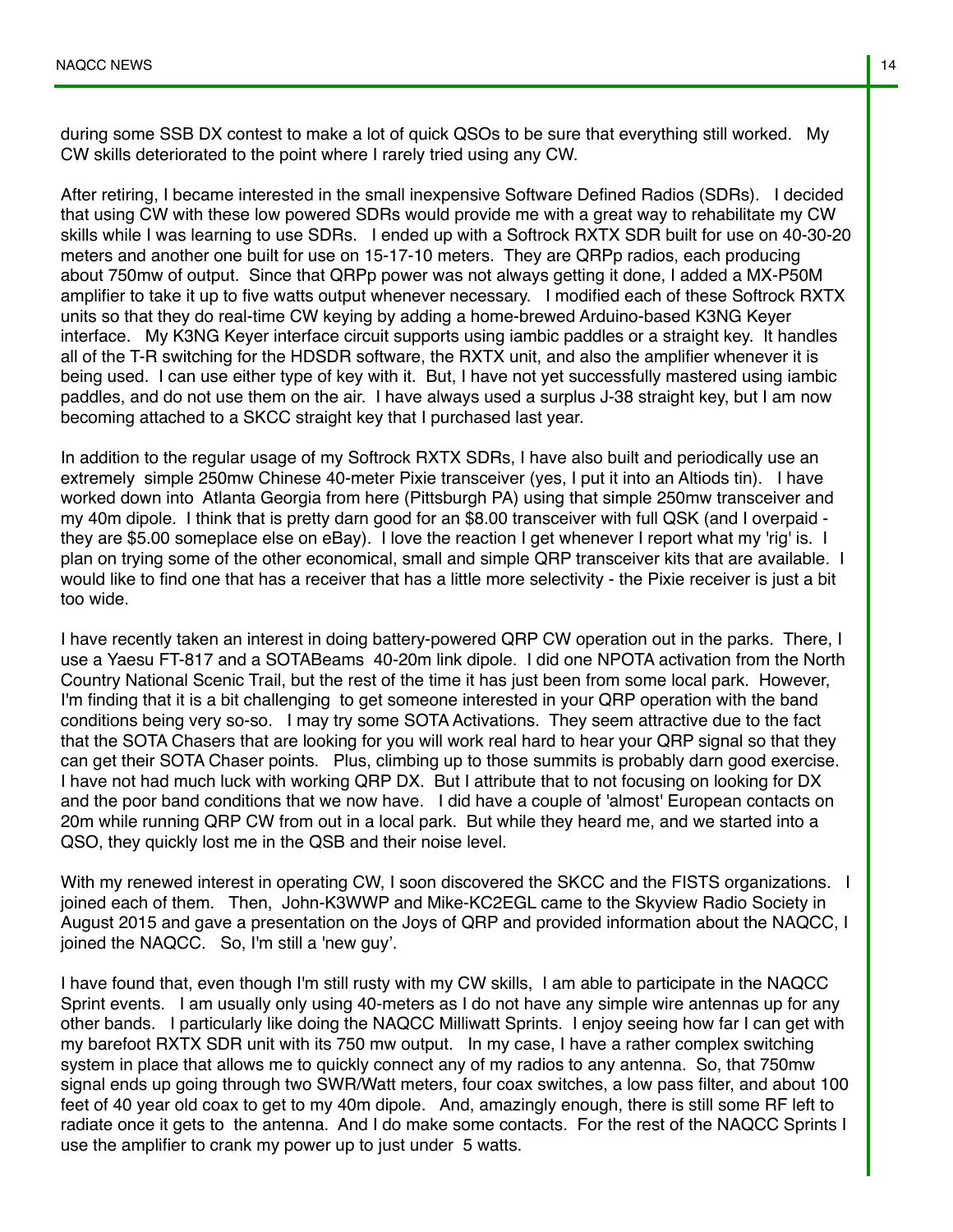during some SSB DX contest to make a lot of quick QSOs to be sure that everything still worked. My CW skills deteriorated to the point where I rarely tried using any CW.

After retiring, I became interested in the small inexpensive Software Defined Radios (SDRs). I decided that using CW with these low powered SDRs would provide me with a great way to rehabilitate my CW skills while I was learning to use SDRs. I ended up with a Softrock RXTX SDR built for use on 40-30-20 meters and another one built for use on 15-17-10 meters. They are QRPp radios, each producing about 750mw of output. Since that QRPp power was not always getting it done, I added a MX-P50M amplifier to take it up to five watts output whenever necessary. I modified each of these Softrock RXTX units so that they do real-time CW keying by adding a home-brewed Arduino-based K3NG Keyer interface. My K3NG Keyer interface circuit supports using iambic paddles or a straight key. It handles all of the T-R switching for the HDSDR software, the RXTX unit, and also the amplifier whenever it is being used. I can use either type of key with it. But, I have not yet successfully mastered using iambic paddles, and do not use them on the air. I have always used a surplus J-38 straight key, but I am now becoming attached to a SKCC straight key that I purchased last year.

In addition to the regular usage of my Softrock RXTX SDRs, I have also built and periodically use an extremely simple 250mw Chinese 40-meter Pixie transceiver (yes, I put it into an Altiods tin). I have worked down into Atlanta Georgia from here (Pittsburgh PA) using that simple 250mw transceiver and my 40m dipole. I think that is pretty darn good for an \$8.00 transceiver with full QSK (and I overpaid they are \$5.00 someplace else on eBay). I love the reaction I get whenever I report what my 'rig' is. I plan on trying some of the other economical, small and simple QRP transceiver kits that are available. I would like to find one that has a receiver that has a little more selectivity - the Pixie receiver is just a bit too wide.

I have recently taken an interest in doing battery-powered QRP CW operation out in the parks. There, I use a Yaesu FT-817 and a SOTABeams 40-20m link dipole. I did one NPOTA activation from the North Country National Scenic Trail, but the rest of the time it has just been from some local park. However, I'm finding that it is a bit challenging to get someone interested in your QRP operation with the band conditions being very so-so. I may try some SOTA Activations. They seem attractive due to the fact that the SOTA Chasers that are looking for you will work real hard to hear your QRP signal so that they can get their SOTA Chaser points. Plus, climbing up to those summits is probably darn good exercise. I have not had much luck with working QRP DX. But I attribute that to not focusing on looking for DX and the poor band conditions that we now have. I did have a couple of 'almost' European contacts on 20m while running QRP CW from out in a local park. But while they heard me, and we started into a QSO, they quickly lost me in the QSB and their noise level.

With my renewed interest in operating CW, I soon discovered the SKCC and the FISTS organizations. I joined each of them. Then, John-K3WWP and Mike-KC2EGL came to the Skyview Radio Society in August 2015 and gave a presentation on the Joys of QRP and provided information about the NAQCC, I joined the NAQCC. So, I'm still a 'new guy'.

I have found that, even though I'm still rusty with my CW skills, I am able to participate in the NAQCC Sprint events. I am usually only using 40-meters as I do not have any simple wire antennas up for any other bands. I particularly like doing the NAQCC Milliwatt Sprints. I enjoy seeing how far I can get with my barefoot RXTX SDR unit with its 750 mw output. In my case, I have a rather complex switching system in place that allows me to quickly connect any of my radios to any antenna. So, that 750mw signal ends up going through two SWR/Watt meters, four coax switches, a low pass filter, and about 100 feet of 40 year old coax to get to my 40m dipole. And, amazingly enough, there is still some RF left to radiate once it gets to the antenna. And I do make some contacts. For the rest of the NAQCC Sprints I use the amplifier to crank my power up to just under 5 watts.